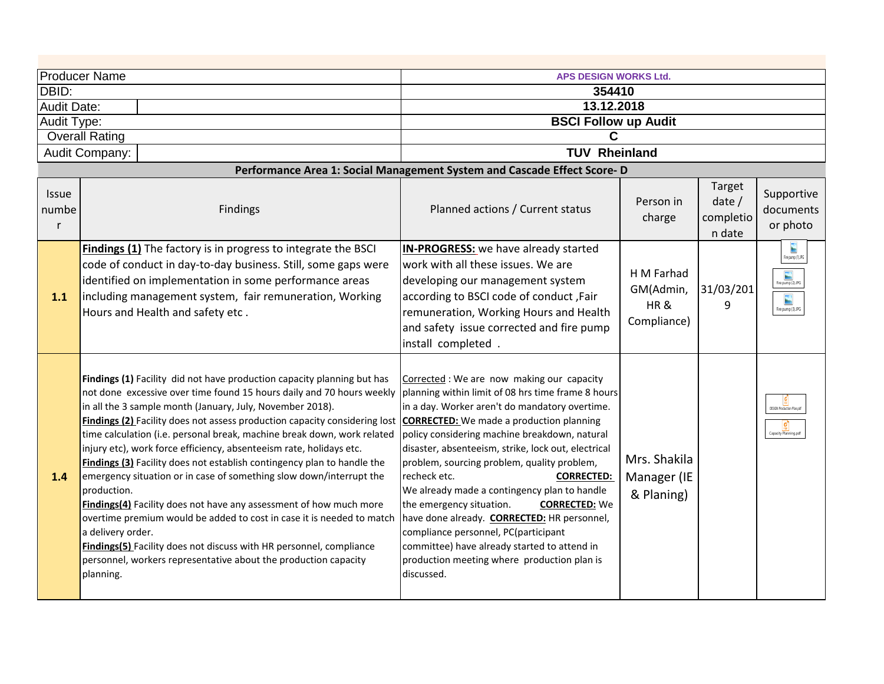|                                       | <b>Producer Name</b>                                                                                                                                                                                                                                                                                                                                                                                                                                                                                                                                                                                                                                                                                                                                                                                                                                                                                                                      | <b>APS DESIGN WORKS Ltd.</b>                                                                                                                                                                                                                                                                                                                                                                                                                                                                                                                                                                                                                                                                                    |                                               |                                           |                                                            |  |  |
|---------------------------------------|-------------------------------------------------------------------------------------------------------------------------------------------------------------------------------------------------------------------------------------------------------------------------------------------------------------------------------------------------------------------------------------------------------------------------------------------------------------------------------------------------------------------------------------------------------------------------------------------------------------------------------------------------------------------------------------------------------------------------------------------------------------------------------------------------------------------------------------------------------------------------------------------------------------------------------------------|-----------------------------------------------------------------------------------------------------------------------------------------------------------------------------------------------------------------------------------------------------------------------------------------------------------------------------------------------------------------------------------------------------------------------------------------------------------------------------------------------------------------------------------------------------------------------------------------------------------------------------------------------------------------------------------------------------------------|-----------------------------------------------|-------------------------------------------|------------------------------------------------------------|--|--|
| DBID:                                 | 354410                                                                                                                                                                                                                                                                                                                                                                                                                                                                                                                                                                                                                                                                                                                                                                                                                                                                                                                                    |                                                                                                                                                                                                                                                                                                                                                                                                                                                                                                                                                                                                                                                                                                                 |                                               |                                           |                                                            |  |  |
| <b>Audit Date:</b>                    |                                                                                                                                                                                                                                                                                                                                                                                                                                                                                                                                                                                                                                                                                                                                                                                                                                                                                                                                           | 13.12.2018                                                                                                                                                                                                                                                                                                                                                                                                                                                                                                                                                                                                                                                                                                      |                                               |                                           |                                                            |  |  |
| Audit Type:                           |                                                                                                                                                                                                                                                                                                                                                                                                                                                                                                                                                                                                                                                                                                                                                                                                                                                                                                                                           | <b>BSCI Follow up Audit</b>                                                                                                                                                                                                                                                                                                                                                                                                                                                                                                                                                                                                                                                                                     |                                               |                                           |                                                            |  |  |
|                                       | <b>Overall Rating</b>                                                                                                                                                                                                                                                                                                                                                                                                                                                                                                                                                                                                                                                                                                                                                                                                                                                                                                                     | C                                                                                                                                                                                                                                                                                                                                                                                                                                                                                                                                                                                                                                                                                                               |                                               |                                           |                                                            |  |  |
|                                       | Audit Company:                                                                                                                                                                                                                                                                                                                                                                                                                                                                                                                                                                                                                                                                                                                                                                                                                                                                                                                            | <b>TUV Rheinland</b>                                                                                                                                                                                                                                                                                                                                                                                                                                                                                                                                                                                                                                                                                            |                                               |                                           |                                                            |  |  |
|                                       |                                                                                                                                                                                                                                                                                                                                                                                                                                                                                                                                                                                                                                                                                                                                                                                                                                                                                                                                           | Performance Area 1: Social Management System and Cascade Effect Score-D                                                                                                                                                                                                                                                                                                                                                                                                                                                                                                                                                                                                                                         |                                               |                                           |                                                            |  |  |
| <b>Issue</b><br>numbe<br>$\mathsf{r}$ | Findings                                                                                                                                                                                                                                                                                                                                                                                                                                                                                                                                                                                                                                                                                                                                                                                                                                                                                                                                  | Planned actions / Current status                                                                                                                                                                                                                                                                                                                                                                                                                                                                                                                                                                                                                                                                                | Person in<br>charge                           | Target<br>date $/$<br>completio<br>n date | Supportive<br>documents<br>or photo                        |  |  |
| 1.1                                   | <b>Findings (1)</b> The factory is in progress to integrate the BSCI<br>code of conduct in day-to-day business. Still, some gaps were<br>identified on implementation in some performance areas<br>including management system, fair remuneration, Working<br>Hours and Health and safety etc.                                                                                                                                                                                                                                                                                                                                                                                                                                                                                                                                                                                                                                            | <b>IN-PROGRESS:</b> we have already started<br>work with all these issues. We are<br>developing our management system<br>according to BSCI code of conduct, Fair<br>remuneration, Working Hours and Health<br>and safety issue corrected and fire pump<br>install completed.                                                                                                                                                                                                                                                                                                                                                                                                                                    | H M Farhad<br>GM(Admin,<br>HR&<br>Compliance) | 31/03/201<br>9                            | Fire pump (1).JPG<br>ire pump (2) JPG<br>Fire pump (3) JPG |  |  |
| 1.4                                   | Findings (1) Facility did not have production capacity planning but has<br>not done excessive over time found 15 hours daily and 70 hours weekly<br>in all the 3 sample month (January, July, November 2018).<br>Findings (2) Facility does not assess production capacity considering lost<br>time calculation (i.e. personal break, machine break down, work related<br>injury etc), work force efficiency, absenteeism rate, holidays etc.<br>Findings (3) Facility does not establish contingency plan to handle the<br>emergency situation or in case of something slow down/interrupt the<br>production.<br>Findings(4) Facility does not have any assessment of how much more<br>overtime premium would be added to cost in case it is needed to match<br>a delivery order.<br>Findings(5) Facility does not discuss with HR personnel, compliance<br>personnel, workers representative about the production capacity<br>planning. | Corrected: We are now making our capacity<br>planning within limit of 08 hrs time frame 8 hours<br>in a day. Worker aren't do mandatory overtime.<br><b>CORRECTED:</b> We made a production planning<br>policy considering machine breakdown, natural<br>disaster, absenteeism, strike, lock out, electrical<br>problem, sourcing problem, quality problem,<br>recheck etc.<br><b>CORRECTED:</b><br>We already made a contingency plan to handle<br>the emergency situation.<br><b>CORRECTED: We</b><br>have done already. <b>CORRECTED:</b> HR personnel,<br>compliance personnel, PC(participant<br>committee) have already started to attend in<br>production meeting where production plan is<br>discussed. | Mrs. Shakila<br>Manager (IE<br>& Planing)     |                                           | DESIGN Production Plan r<br>Capacity Planning              |  |  |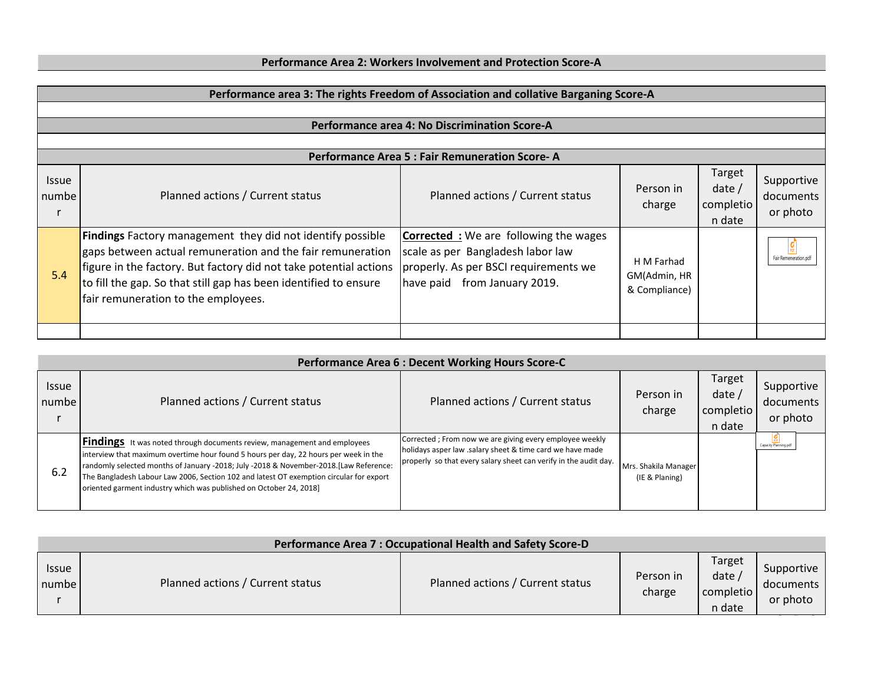## **Performance Area 2: Workers Involvement and Protection Score-A**

| Performance area 3: The rights Freedom of Association and collative Barganing Score-A |                                                                                                                                                                                                                                                                                                          |                                                                                                                                                             |                                             |                                               |                                     |  |
|---------------------------------------------------------------------------------------|----------------------------------------------------------------------------------------------------------------------------------------------------------------------------------------------------------------------------------------------------------------------------------------------------------|-------------------------------------------------------------------------------------------------------------------------------------------------------------|---------------------------------------------|-----------------------------------------------|-------------------------------------|--|
|                                                                                       |                                                                                                                                                                                                                                                                                                          |                                                                                                                                                             |                                             |                                               |                                     |  |
| Performance area 4: No Discrimination Score-A                                         |                                                                                                                                                                                                                                                                                                          |                                                                                                                                                             |                                             |                                               |                                     |  |
|                                                                                       |                                                                                                                                                                                                                                                                                                          |                                                                                                                                                             |                                             |                                               |                                     |  |
| <b>Performance Area 5 : Fair Remuneration Score-A</b>                                 |                                                                                                                                                                                                                                                                                                          |                                                                                                                                                             |                                             |                                               |                                     |  |
| <i><b>Issue</b></i><br>numbe                                                          | Planned actions / Current status                                                                                                                                                                                                                                                                         | Planned actions / Current status                                                                                                                            | Person in<br>charge                         | <b>Target</b><br>date/<br>completio<br>n date | Supportive<br>documents<br>or photo |  |
| 5.4                                                                                   | Findings Factory management they did not identify possible<br>gaps between actual remuneration and the fair remuneration<br>figure in the factory. But factory did not take potential actions<br>to fill the gap. So that still gap has been identified to ensure<br>fair remuneration to the employees. | <b>Corrected :</b> We are following the wages<br>scale as per Bangladesh labor law<br>properly. As per BSCI requirements we<br>have paid from January 2019. | H M Farhad<br>GM(Admin, HR<br>& Compliance) |                                               | Fair Remeneration.pr                |  |
|                                                                                       |                                                                                                                                                                                                                                                                                                          |                                                                                                                                                             |                                             |                                               |                                     |  |

| 5.4                                                         | figure in the factory. But factory did not take potential actions<br>to fill the gap. So that still gap has been identified to ensure<br>fair remuneration to the employees.                                                                                                                                                                                                                                                       | properly. As per BSCI requirements we<br>have paid from January 2019.                                                                                                                    | H M Farhad<br>GM(Admin, HR<br>& Compliance) |                                        | Fair Remeneration.pdf               |  |
|-------------------------------------------------------------|------------------------------------------------------------------------------------------------------------------------------------------------------------------------------------------------------------------------------------------------------------------------------------------------------------------------------------------------------------------------------------------------------------------------------------|------------------------------------------------------------------------------------------------------------------------------------------------------------------------------------------|---------------------------------------------|----------------------------------------|-------------------------------------|--|
|                                                             |                                                                                                                                                                                                                                                                                                                                                                                                                                    |                                                                                                                                                                                          |                                             |                                        |                                     |  |
|                                                             |                                                                                                                                                                                                                                                                                                                                                                                                                                    |                                                                                                                                                                                          |                                             |                                        |                                     |  |
|                                                             |                                                                                                                                                                                                                                                                                                                                                                                                                                    | <b>Performance Area 6 : Decent Working Hours Score-C</b>                                                                                                                                 |                                             |                                        |                                     |  |
| <b>Issue</b><br>numbe                                       | Planned actions / Current status                                                                                                                                                                                                                                                                                                                                                                                                   | Planned actions / Current status                                                                                                                                                         | Person in<br>charge                         | Target<br>date/<br>completio<br>n date | Supportive<br>documents<br>or photo |  |
| 6.2                                                         | <b>Findings</b> It was noted through documents review, management and employees<br>interview that maximum overtime hour found 5 hours per day, 22 hours per week in the<br>randomly selected months of January -2018; July -2018 & November-2018. [Law Reference:<br>The Bangladesh Labour Law 2006, Section 102 and latest OT exemption circular for export<br>oriented garment industry which was published on October 24, 2018] | Corrected; From now we are giving every employee weekly<br>holidays asper law .salary sheet & time card we have made<br>properly so that every salary sheet can verify in the audit day. | Mrs. Shakila Manager<br>(IE & Planing)      |                                        | Capacity Planning.pdf               |  |
|                                                             |                                                                                                                                                                                                                                                                                                                                                                                                                                    |                                                                                                                                                                                          |                                             |                                        |                                     |  |
| Performance Area 7 : Occupational Health and Safety Score-D |                                                                                                                                                                                                                                                                                                                                                                                                                                    |                                                                                                                                                                                          |                                             |                                        |                                     |  |
| <b>Issue</b><br>numbe                                       | Planned actions / Current status                                                                                                                                                                                                                                                                                                                                                                                                   | Planned actions / Current status                                                                                                                                                         | Person in<br>charge                         | Target<br>date/<br>completio<br>n date | Supportive<br>documents<br>or photo |  |
|                                                             |                                                                                                                                                                                                                                                                                                                                                                                                                                    |                                                                                                                                                                                          |                                             |                                        |                                     |  |

| Performance Area 7 : Occupational Health and Safety Score-D |                                  |                                  |                     |                                        |                                     |  |  |
|-------------------------------------------------------------|----------------------------------|----------------------------------|---------------------|----------------------------------------|-------------------------------------|--|--|
| <b>Issue</b><br>l numbe l                                   | Planned actions / Current status | Planned actions / Current status | Person in<br>charge | Target<br>date,<br>completio<br>n date | Supportive<br>documents<br>or photo |  |  |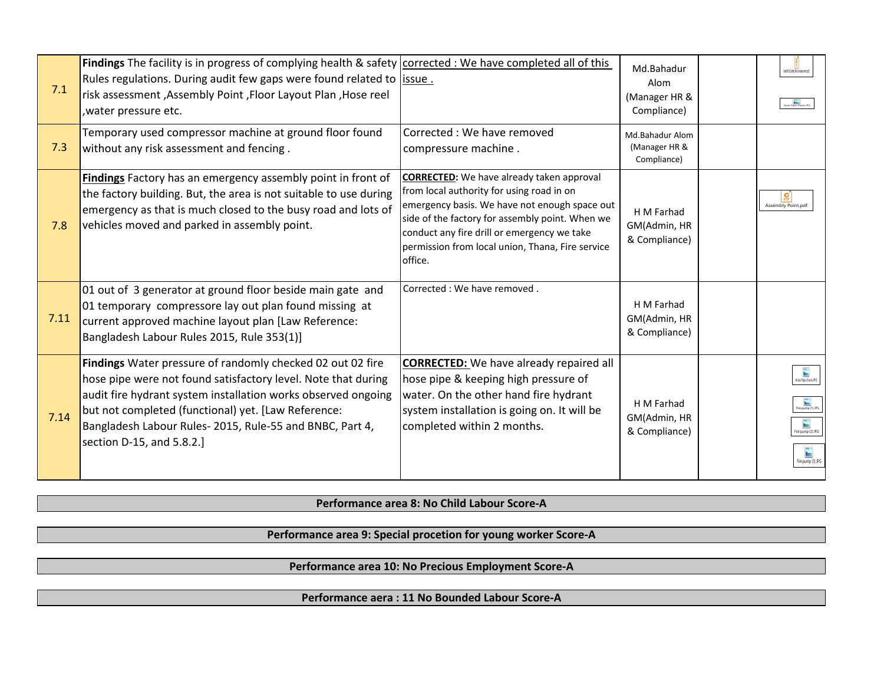| 7.1  | Findings The facility is in progress of complying health & safety corrected : We have completed all of this<br>Rules regulations. During audit few gaps were found related to <i>issue</i> .<br>risk assessment, Assembly Point, Floor Layout Plan, Hose reel<br>, water pressure etc.                                                      |                                                                                                                                                                                                                                                                                                                 | Md.Bahadur<br>Alom<br>(Manager HR &<br>Compliance) | Health & Safety Risk Assessment poli                                                                                                                                                                                                                                                                                                                                                                                                                                                                                                                                                                                                                                                                                     |
|------|---------------------------------------------------------------------------------------------------------------------------------------------------------------------------------------------------------------------------------------------------------------------------------------------------------------------------------------------|-----------------------------------------------------------------------------------------------------------------------------------------------------------------------------------------------------------------------------------------------------------------------------------------------------------------|----------------------------------------------------|--------------------------------------------------------------------------------------------------------------------------------------------------------------------------------------------------------------------------------------------------------------------------------------------------------------------------------------------------------------------------------------------------------------------------------------------------------------------------------------------------------------------------------------------------------------------------------------------------------------------------------------------------------------------------------------------------------------------------|
| 7.3  | Temporary used compressor machine at ground floor found<br>without any risk assessment and fencing.                                                                                                                                                                                                                                         | Corrected : We have removed<br>compressure machine.                                                                                                                                                                                                                                                             | Md.Bahadur Alom<br>(Manager HR &<br>Compliance)    |                                                                                                                                                                                                                                                                                                                                                                                                                                                                                                                                                                                                                                                                                                                          |
| 7.8  | Findings Factory has an emergency assembly point in front of<br>the factory building. But, the area is not suitable to use during<br>emergency as that is much closed to the busy road and lots of<br>vehicles moved and parked in assembly point.                                                                                          | <b>CORRECTED:</b> We have already taken approval<br>from local authority for using road in on<br>emergency basis. We have not enough space out<br>side of the factory for assembly point. When we<br>conduct any fire drill or emergency we take<br>permission from local union, Thana, Fire service<br>office. | H M Farhad<br>GM(Admin, HR<br>& Compliance)        | Assembly Point.pdf                                                                                                                                                                                                                                                                                                                                                                                                                                                                                                                                                                                                                                                                                                       |
| 7.11 | 01 out of 3 generator at ground floor beside main gate and<br>01 temporary compressore lay out plan found missing at<br>current approved machine layout plan [Law Reference:<br>Bangladesh Labour Rules 2015, Rule 353(1)]                                                                                                                  | Corrected : We have removed.                                                                                                                                                                                                                                                                                    | H M Farhad<br>GM(Admin, HR<br>& Compliance)        |                                                                                                                                                                                                                                                                                                                                                                                                                                                                                                                                                                                                                                                                                                                          |
| 7.14 | Findings Water pressure of randomly checked 02 out 02 fire<br>hose pipe were not found satisfactory level. Note that during<br>audit fire hydrant system installation works observed ongoing<br>but not completed (functional) yet. [Law Reference:<br>Bangladesh Labour Rules-2015, Rule-55 and BNBC, Part 4,<br>section D-15, and 5.8.2.] | <b>CORRECTED:</b> We have already repaired all<br>hose pipe & keeping high pressure of<br>water. On the other hand fire hydrant<br>system installation is going on. It will be<br>completed within 2 months.                                                                                                    | H M Farhad<br>GM(Admin, HR<br>& Compliance)        | <b>Extra</b><br>Hose Pipe check PG<br>$\begin{array}{ c } \hline \quad \quad & \quad \quad & \quad \quad \\ \hline \quad \quad & \quad \quad & \quad \quad \\ \hline \quad \quad & \quad \quad & \quad \quad \\ \hline \quad \quad & \quad \quad & \quad \quad \\ \hline \quad \quad & \quad \quad & \quad \quad \\ \quad \quad & \quad \quad & \quad \quad \\ \quad \quad & \quad \quad & \quad \quad \\ \quad \quad & \quad \quad & \quad \quad \\ \quad \quad & \quad \quad & \quad \quad \\ \quad \quad & \quad \quad & \quad \quad \\ \quad \quad & \quad \quad & \quad \quad \\ \quad \quad & \quad \quad & \quad \quad \\ \quad \quad & \quad \quad & \quad \quad \\ \$<br>Fire pump (2).JPG<br>Fire pump (3).JPG |

## **Performance area 8: No Child Labour Score-A**

## **Performance area 9: Special procetion for young worker Score-A**

**Performance area 10: No Precious Employment Score-A**

**Performance aera : 11 No Bounded Labour Score-A**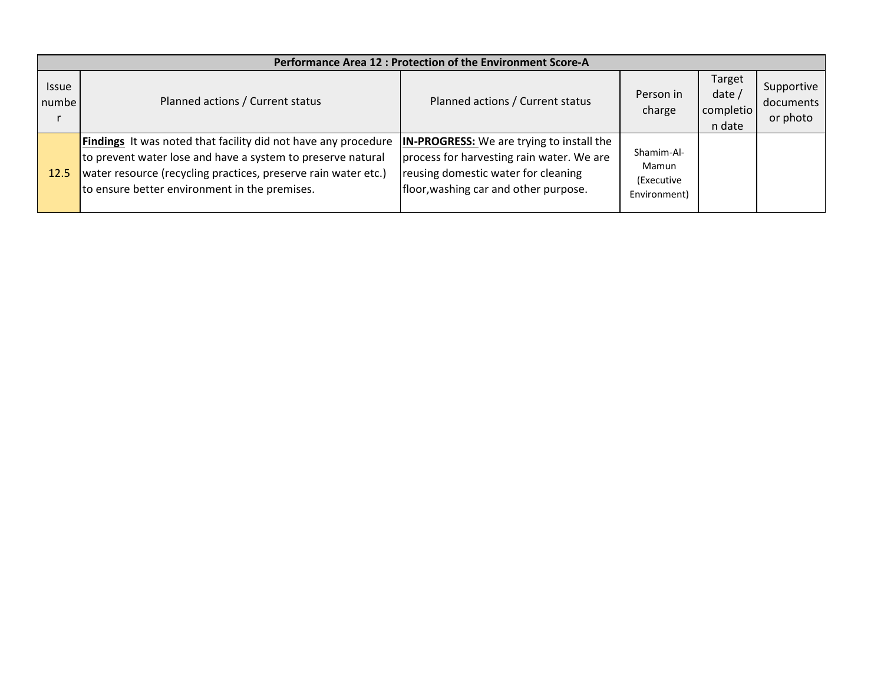|                       | Performance Area 12 : Protection of the Environment Score-A                                                                                                                                                                                             |                                                                                                                                                                               |                                                   |                                        |                                     |  |  |  |
|-----------------------|---------------------------------------------------------------------------------------------------------------------------------------------------------------------------------------------------------------------------------------------------------|-------------------------------------------------------------------------------------------------------------------------------------------------------------------------------|---------------------------------------------------|----------------------------------------|-------------------------------------|--|--|--|
| <b>Issue</b><br>numbe | Planned actions / Current status                                                                                                                                                                                                                        | Planned actions / Current status                                                                                                                                              | Person in<br>charge                               | Target<br>date/<br>completio<br>n date | Supportive<br>documents<br>or photo |  |  |  |
| 12.5                  | <b>Findings</b> It was noted that facility did not have any procedure<br>to prevent water lose and have a system to preserve natural<br>water resource (recycling practices, preserve rain water etc.)<br>to ensure better environment in the premises. | <b>IN-PROGRESS:</b> We are trying to install the<br>process for harvesting rain water. We are<br>reusing domestic water for cleaning<br>floor, washing car and other purpose. | Shamim-Al-<br>Mamun<br>(Executive<br>Environment) |                                        |                                     |  |  |  |